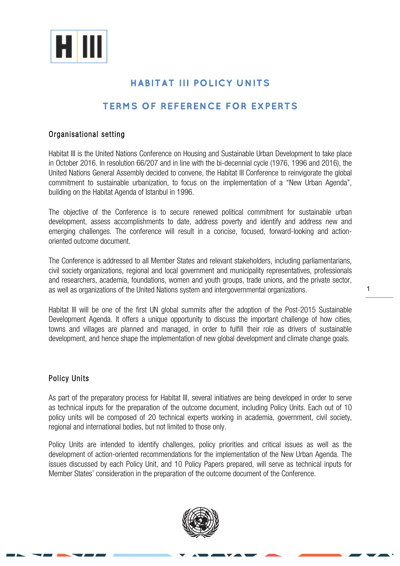

# **HABITAT III POLICY UNITS**

# **TERMS OF REFERENCE FOR EXPERTS**

## Organisational setting

Habitat III is the United Nations Conference on Housing and Sustainable Urban Development to take place in October 2016. In resolution 66/207 and in line with the bi-decennial cycle (1976, 1996 and 2016), the United Nations General Assembly decided to convene, the Habitat III Conference to reinvigorate the global commitment to sustainable urbanization, to focus on the implementation of a "New Urban Agenda", building on the Habitat Agenda of Istanbul in 1996.

The objective of the Conference is to secure renewed political commitment for sustainable urban development, assess accomplishments to date, address poverty and identify and address new and emerging challenges. The conference will result in a concise, focused, forward-looking and actionoriented outcome document.

The Conference is addressed to all Member States and relevant stakeholders, including parliamentarians, civil society organizations, regional and local government and municipality representatives, professionals and researchers, academia, foundations, women and youth groups, trade unions, and the private sector, as well as organizations of the United Nations system and intergovernmental organizations.

Habitat III will be one of the first UN global summits after the adoption of the Post-2015 Sustainable Development Agenda. It offers a unique opportunity to discuss the important challenge of how cities, towns and villages are planned and managed, in order to fulfill their role as drivers of sustainable development, and hence shape the implementation of new global development and climate change goals.

### Policy Units

As part of the preparatory process for Habitat III, several initiatives are being developed in order to serve as technical inputs for the preparation of the outcome document, including Policy Units. Each out of 10 policy units will be composed of 20 technical experts working in academia, government, civil society, regional and international bodies, but not limited to those only.

Policy Units are intended to identify challenges, policy priorities and critical issues as well as the development of action-oriented recommendations for the implementation of the New Urban Agenda. The issues discussed by each Policy Unit, and 10 Policy Papers prepared, will serve as technical inputs for Member States' consideration in the preparation of the outcome document of the Conference.



1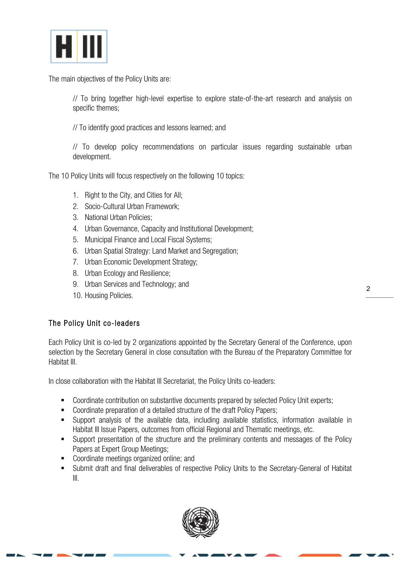

The main objectives of the Policy Units are:

// To bring together high-level expertise to explore state-of-the-art research and analysis on specific themes;

// To identify good practices and lessons learned; and

// To develop policy recommendations on particular issues regarding sustainable urban development.

The 10 Policy Units will focus respectively on the following 10 topics:

- 1. Right to the City, and Cities for All;
- 2. Socio-Cultural Urban Framework;
- 3. National Urban Policies;
- 4. Urban Governance, Capacity and Institutional Development;
- 5. Municipal Finance and Local Fiscal Systems;
- 6. Urban Spatial Strategy: Land Market and Segregation;
- 7. Urban Economic Development Strategy;
- 8. Urban Ecology and Resilience;
- 9. Urban Services and Technology; and
- 10. Housing Policies.

### The Policy Unit co-leaders

Each Policy Unit is co-led by 2 organizations appointed by the Secretary General of the Conference, upon selection by the Secretary General in close consultation with the Bureau of the Preparatory Committee for Habitat III.

In close collaboration with the Habitat III Secretariat, the Policy Units co-leaders:

- Coordinate contribution on substantive documents prepared by selected Policy Unit experts;
- Coordinate preparation of a detailed structure of the draft Policy Papers;
- § Support analysis of the available data, including available statistics, information available in Habitat III Issue Papers, outcomes from official Regional and Thematic meetings, etc.
- Support presentation of the structure and the preliminary contents and messages of the Policy Papers at Expert Group Meetings;
- Coordinate meetings organized online; and
- Submit draft and final deliverables of respective Policy Units to the Secretary-General of Habitat III.

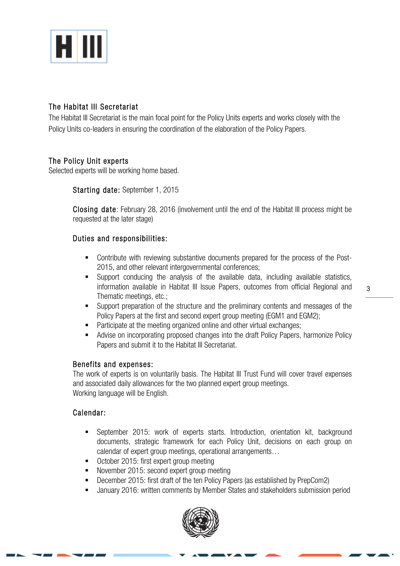

## The Habitat III Secretariat

The Habitat III Secretariat is the main focal point for the Policy Units experts and works closely with the Policy Units co-leaders in ensuring the coordination of the elaboration of the Policy Papers.

## The Policy Unit experts

Selected experts will be working home based.

Starting date: September 1, 2015

Closing date: February 28, 2016 (involvement until the end of the Habitat III process might be requested at the later stage)

## Duties and responsibilities:

- Contribute with reviewing substantive documents prepared for the process of the Post-2015, and other relevant intergovernmental conferences;
- Support conducing the analysis of the available data, including available statistics, information available in Habitat III Issue Papers, outcomes from official Regional and Thematic meetings, etc.;
- Support preparation of the structure and the preliminary contents and messages of the Policy Papers at the first and second expert group meeting (EGM1 and EGM2);
- Participate at the meeting organized online and other virtual exchanges;
- Advise on incorporating proposed changes into the draft Policy Papers, harmonize Policy Papers and submit it to the Habitat III Secretariat.

### Benefits and expenses:

The work of experts is on voluntarily basis. The Habitat III Trust Fund will cover travel expenses and associated daily allowances for the two planned expert group meetings. Working language will be English.

### Calendar:

- § September 2015: work of experts starts. Introduction, orientation kit, background documents, strategic framework for each Policy Unit, decisions on each group on calendar of expert group meetings, operational arrangements…
- October 2015: first expert group meeting
- § November 2015: second expert group meeting
- December 2015: first draft of the ten Policy Papers (as established by PrepCom2)
- January 2016: written comments by Member States and stakeholders submission period